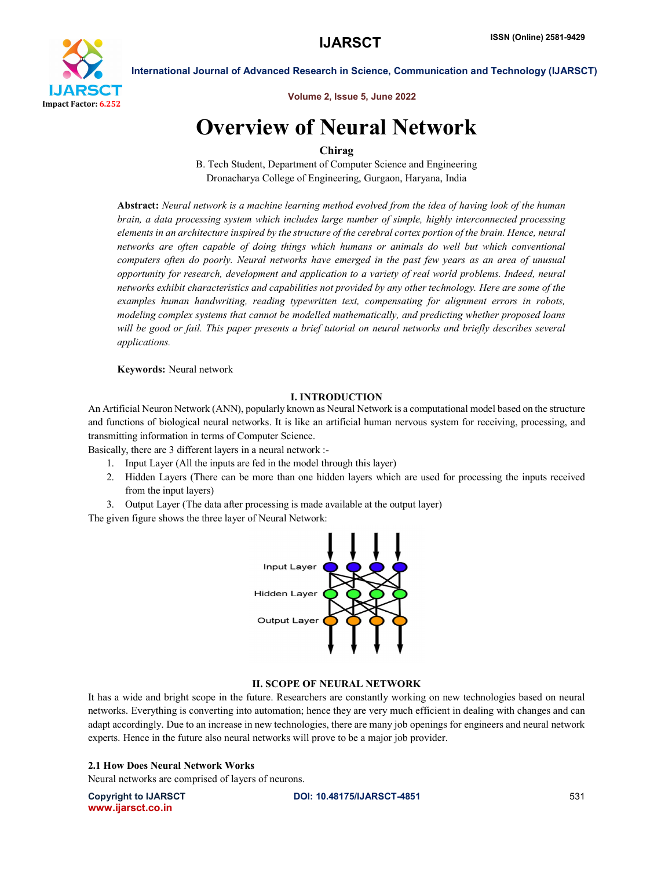

Volume 2, Issue 5, June 2022

# Overview of Neural Network

# Chirag

B. Tech Student, Department of Computer Science and Engineering Dronacharya College of Engineering, Gurgaon, Haryana, India

Abstract: *Neural network is a machine learning method evolved from the idea of having look of the human brain, a data processing system which includes large number of simple, highly interconnected processing elements in an architecture inspired by the structure of the cerebral cortex portion of the brain. Hence, neural networks are often capable of doing things which humans or animals do well but which conventional computers often do poorly. Neural networks have emerged in the past few years as an area of unusual opportunity for research, development and application to a variety of real world problems. Indeed, neural networks exhibit characteristics and capabilities not provided by any other technology. Here are some of the examples human handwriting, reading typewritten text, compensating for alignment errors in robots, modeling complex systems that cannot be modelled mathematically, and predicting whether proposed loans*  will be good or fail. This paper presents a brief tutorial on neural networks and briefly describes several *applications.*

# Keywords: Neural network

# I. INTRODUCTION

An Artificial Neuron Network (ANN), popularly known as Neural Network is a computational model based on the structure and functions of biological neural networks. It is like an artificial human nervous system for receiving, processing, and transmitting information in terms of Computer Science.

Basically, there are 3 different layers in a neural network :-

- 1. Input Layer (All the inputs are fed in the model through this layer)
- 2. Hidden Layers (There can be more than one hidden layers which are used for processing the inputs received from the input layers)
- 3. Output Layer (The data after processing is made available at the output layer)

The given figure shows the three layer of Neural Network:



# II. SCOPE OF NEURAL NETWORK

It has a wide and bright scope in the future. Researchers are constantly working on new technologies based on neural networks. Everything is converting into automation; hence they are very much efficient in dealing with changes and can adapt accordingly. Due to an increase in new technologies, there are many job openings for engineers and neural network experts. Hence in the future also neural networks will prove to be a major job provider.

# 2.1 How Does Neural Network Works

Neural networks are comprised of layers of neurons.

www.ijarsct.co.in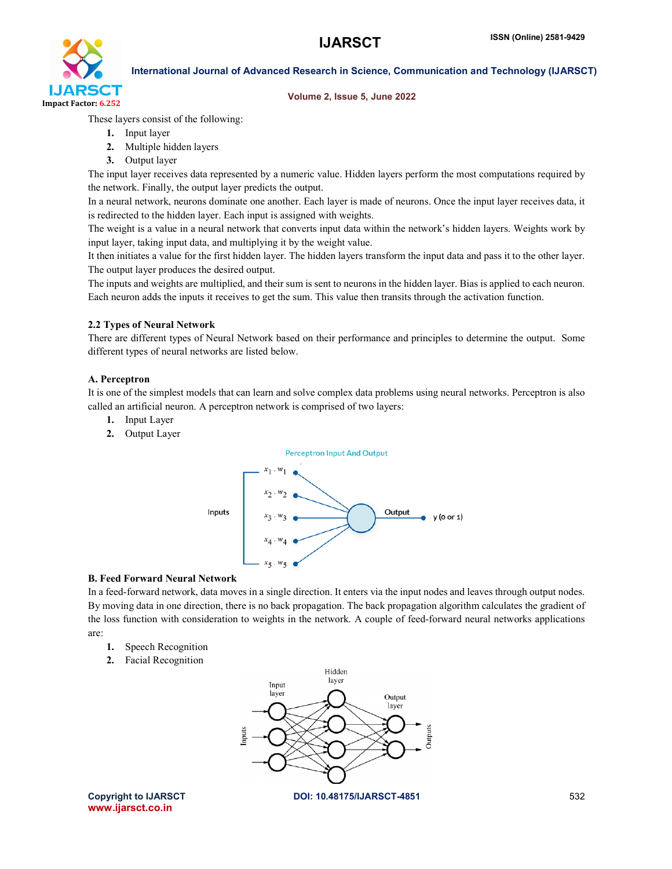

### Volume 2, Issue 5, June 2022

These layers consist of the following:

- 1. Input layer
- 2. Multiple hidden layers
- 3. Output layer

The input layer receives data represented by a numeric value. Hidden layers perform the most computations required by the network. Finally, the output layer predicts the output.

In a neural network, neurons dominate one another. Each layer is made of neurons. Once the input layer receives data, it is redirected to the hidden layer. Each input is assigned with weights.

The weight is a value in a neural network that converts input data within the network's hidden layers. Weights work by input layer, taking input data, and multiplying it by the weight value.

It then initiates a value for the first hidden layer. The hidden layers transform the input data and pass it to the other layer. The output layer produces the desired output.

The inputs and weights are multiplied, and their sum is sent to neurons in the hidden layer. Bias is applied to each neuron. Each neuron adds the inputs it receives to get the sum. This value then transits through the activation function.

## 2.2 Types of Neural Network

There are different types of Neural Network based on their performance and principles to determine the output. Some different types of neural networks are listed below.

## A. Perceptron

It is one of the simplest models that can learn and solve complex data problems using neural networks. Perceptron is also called an artificial neuron. A perceptron network is comprised of two layers:

- 1. Input Layer
- 2. Output Layer



# B. Feed Forward Neural Network

In a feed-forward network, data moves in a single direction. It enters via the input nodes and leaves through output nodes. By moving data in one direction, there is no back propagation. The back propagation algorithm calculates the gradient of the loss function with consideration to weights in the network. A couple of feed-forward neural networks applications are:

- 1. Speech Recognition
- 2. Facial Recognition



Copyright to IJARSCT DOI: 10.48175/IJARSCT-4851 532 www.ijarsct.co.in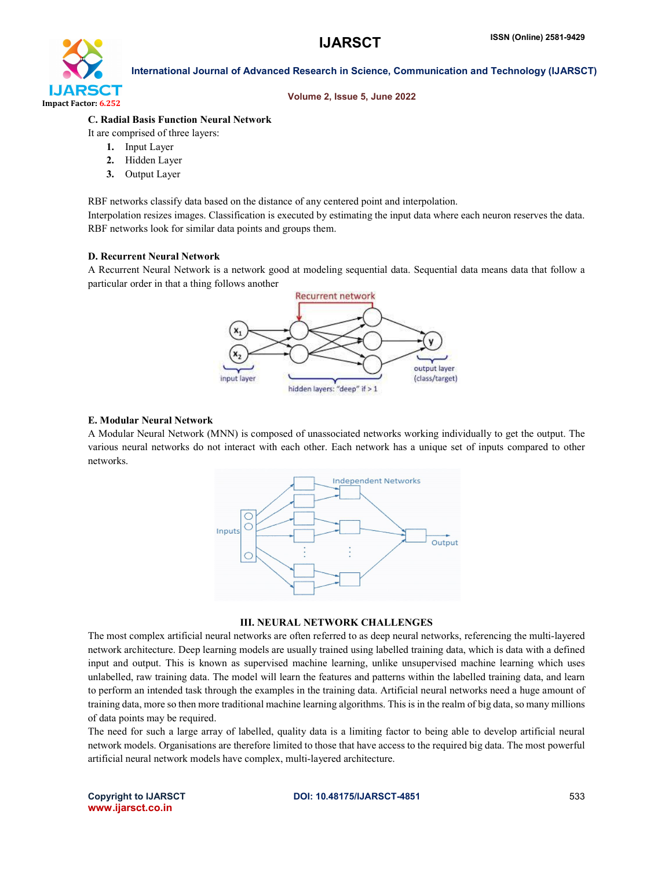

### Volume 2, Issue 5, June 2022

# C. Radial Basis Function Neural Network

It are comprised of three layers:

- 1. Input Layer
- 2. Hidden Layer
- 3. Output Layer

RBF networks classify data based on the distance of any centered point and interpolation. Interpolation resizes images. Classification is executed by estimating the input data where each neuron reserves the data. RBF networks look for similar data points and groups them.

## D. Recurrent Neural Network

A Recurrent Neural Network is a network good at modeling sequential data. Sequential data means data that follow a particular order in that a thing follows another



### E. Modular Neural Network

A Modular Neural Network (MNN) is composed of unassociated networks working individually to get the output. The various neural networks do not interact with each other. Each network has a unique set of inputs compared to other networks.



### III. NEURAL NETWORK CHALLENGES

The most complex artificial neural networks are often referred to as deep neural networks, referencing the multi-layered network architecture. Deep learning models are usually trained using labelled training data, which is data with a defined input and output. This is known as supervised machine learning, unlike unsupervised machine learning which uses unlabelled, raw training data. The model will learn the features and patterns within the labelled training data, and learn to perform an intended task through the examples in the training data. Artificial neural networks need a huge amount of training data, more so then more traditional machine learning algorithms. This is in the realm of big data, so many millions of data points may be required.

The need for such a large array of labelled, quality data is a limiting factor to being able to develop artificial neural network models. Organisations are therefore limited to those that have access to the required big data. The most powerful artificial neural network models have complex, multi-layered architecture.

www.ijarsct.co.in

### Copyright to IJARSCT **DOI: 10.48175/IJARSCT-4851** 533